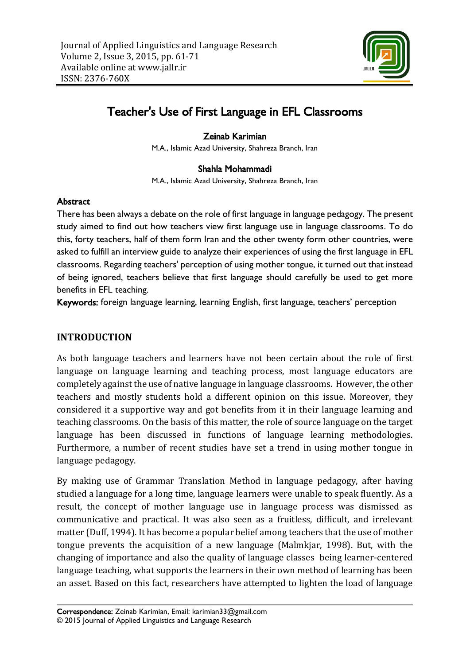

# Teacher's Use of First Language in EFL Classrooms

### Zeinab Karimian

M.A., Islamic Azad University, Shahreza Branch, Iran

#### Shahla Mohammadi

M.A., Islamic Azad University, Shahreza Branch, Iran

#### **Abstract**

There has been always a debate on the role of first language in language pedagogy. The present study aimed to find out how teachers view first language use in language classrooms. To do this, forty teachers, half of them form Iran and the other twenty form other countries, were asked to fulfill an interview guide to analyze their experiences of using the first language in EFL classrooms. Regarding teachers' perception of using mother tongue, it turned out that instead of being ignored, teachers believe that first language should carefully be used to get more benefits in EFL teaching.

Keywords: foreign language learning, learning English, first language, teachers' perception

### **INTRODUCTION**

As both language teachers and learners have not been certain about the role of first language on language learning and teaching process, most language educators are completely against the use of native language in language classrooms. However, the other teachers and mostly students hold a different opinion on this issue. Moreover, they considered it a supportive way and got benefits from it in their language learning and teaching classrooms. On the basis of this matter, the role of source language on the target language has been discussed in functions of language learning methodologies. Furthermore, a number of recent studies have set a trend in using mother tongue in language pedagogy.

By making use of Grammar Translation Method in language pedagogy, after having studied a language for a long time, language learners were unable to speak fluently. As a result, the concept of mother language use in language process was dismissed as communicative and practical. It was also seen as a fruitless, difficult, and irrelevant matter (Duff, 1994). It has become a popular belief among teachers that the use of mother tongue prevents the acquisition of a new language (Malmkjar, 1998). But, with the changing of importance and also the quality of language classes being learner-centered language teaching, what supports the learners in their own method of learning has been an asset. Based on this fact, researchers have attempted to lighten the load of language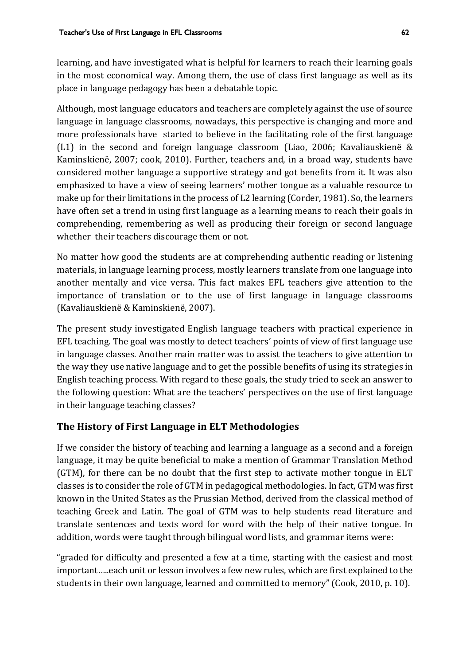learning, and have investigated what is helpful for learners to reach their learning goals in the most economical way. Among them, the use of class first language as well as its place in language pedagogy has been a debatable topic.

Although, most language educators and teachers are completely against the use of source language in language classrooms, nowadays, this perspective is changing and more and more professionals have started to believe in the facilitating role of the first language (L1) in the second and foreign language classroom (Liao, 2006; Kavaliauskienë & Kaminskienë, 2007; cook, 2010). Further, teachers and, in a broad way, students have considered mother language a supportive strategy and got benefits from it. It was also emphasized to have a view of seeing learners' mother tongue as a valuable resource to make up for their limitations in the process of L2 learning (Corder, 1981). So, the learners have often set a trend in using first language as a learning means to reach their goals in comprehending, remembering as well as producing their foreign or second language whether their teachers discourage them or not.

No matter how good the students are at comprehending authentic reading or listening materials, in language learning process, mostly learners translate from one language into another mentally and vice versa. This fact makes EFL teachers give attention to the importance of translation or to the use of first language in language classrooms (Kavaliauskienë & Kaminskienë, 2007).

The present study investigated English language teachers with practical experience in EFL teaching. The goal was mostly to detect teachers' points of view of first language use in language classes. Another main matter was to assist the teachers to give attention to the way they use native language and to get the possible benefits of using its strategies in English teaching process. With regard to these goals, the study tried to seek an answer to the following question: What are the teachers' perspectives on the use of first language in their language teaching classes?

# **The History of First Language in ELT Methodologies**

If we consider the history of teaching and learning a language as a second and a foreign language, it may be quite beneficial to make a mention of Grammar Translation Method (GTM), for there can be no doubt that the first step to activate mother tongue in ELT classes is to consider the role of GTM in pedagogical methodologies. In fact, GTM was first known in the United States as the Prussian Method, derived from the classical method of teaching Greek and Latin. The goal of GTM was to help students read literature and translate sentences and texts word for word with the help of their native tongue. In addition, words were taught through bilingual word lists, and grammar items were:

"graded for difficulty and presented a few at a time, starting with the easiest and most important…..each unit or lesson involves a few new rules, which are first explained to the students in their own language, learned and committed to memory" (Cook, 2010, p. 10).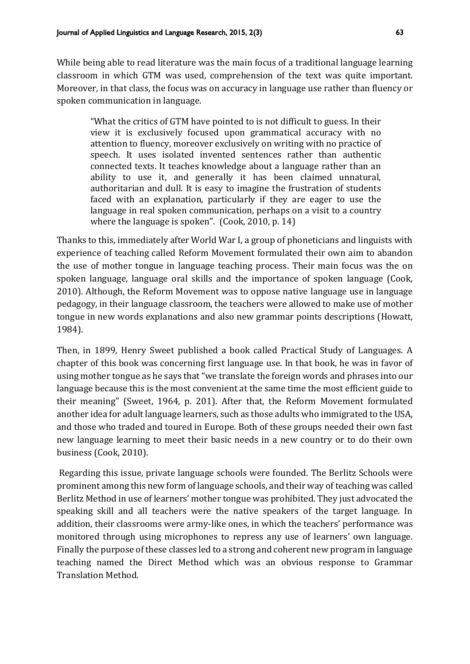While being able to read literature was the main focus of a traditional language learning classroom in which GTM was used, comprehension of the text was quite important. Moreover, in that class, the focus was on accuracy in language use rather than fluency or spoken communication in language.

"What the critics of GTM have pointed to is not difficult to guess. In their view it is exclusively focused upon grammatical accuracy with no attention to fluency, moreover exclusively on writing with no practice of speech. It uses isolated invented sentences rather than authentic connected texts. It teaches knowledge about a language rather than an ability to use it, and generally it has been claimed unnatural, authoritarian and dull. It is easy to imagine the frustration of students faced with an explanation, particularly if they are eager to use the language in real spoken communication, perhaps on a visit to a country where the language is spoken". (Cook, 2010, p. 14)

Thanks to this, immediately after World War I, a group of phoneticians and linguists with experience of teaching called Reform Movement formulated their own aim to abandon the use of mother tongue in language teaching process. Their main focus was the on spoken language, language oral skills and the importance of spoken language (Cook, 2010). Although, the Reform Movement was to oppose native language use in language pedagogy, in their language classroom, the teachers were allowed to make use of mother tongue in new words explanations and also new grammar points descriptions (Howatt, 1984).

Then, in 1899, Henry Sweet published a book called Practical Study of Languages. A chapter of this book was concerning first language use. In that book, he was in favor of using mother tongue as he says that "we translate the foreign words and phrases into our language because this is the most convenient at the same time the most efficient guide to their meaning" (Sweet, 1964, p. 201). After that, the Reform Movement formulated another idea for adult language learners, such as those adults who immigrated to the USA, and those who traded and toured in Europe. Both of these groups needed their own fast new language learning to meet their basic needs in a new country or to do their own business (Cook, 2010).

Regarding this issue, private language schools were founded. The Berlitz Schools were prominent among this new form of language schools, and their way of teaching was called Berlitz Method in use of learners' mother tongue was prohibited. They just advocated the speaking skill and all teachers were the native speakers of the target language. In addition, their classrooms were army-like ones, in which the teachers' performance was monitored through using microphones to repress any use of learners' own language. Finally the purpose of these classes led to a strong and coherent new program in language teaching named the Direct Method which was an obvious response to Grammar Translation Method.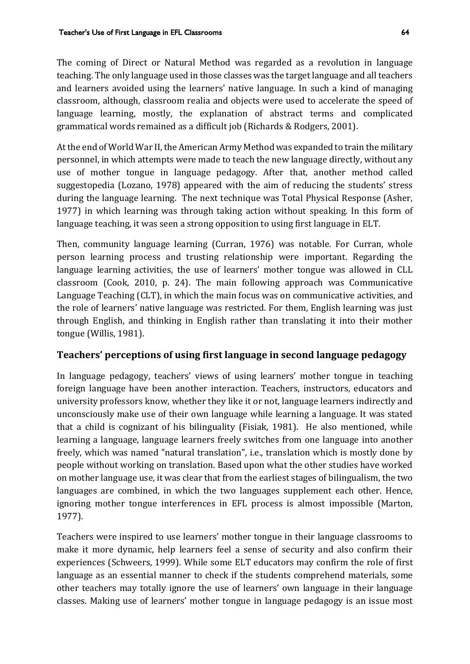The coming of Direct or Natural Method was regarded as a revolution in language teaching. The only language used in those classes was the target language and all teachers and learners avoided using the learners' native language. In such a kind of managing classroom, although, classroom realia and objects were used to accelerate the speed of language learning, mostly, the explanation of abstract terms and complicated grammatical words remained as a difficult job (Richards & Rodgers, 2001).

At the end of World War II, the American Army Method was expanded to train the military personnel, in which attempts were made to teach the new language directly, without any use of mother tongue in language pedagogy. After that, another method called suggestopedia (Lozano, 1978) appeared with the aim of reducing the students' stress during the language learning. The next technique was Total Physical Response (Asher, 1977) in which learning was through taking action without speaking. In this form of language teaching, it was seen a strong opposition to using first language in ELT.

Then, community language learning (Curran, 1976) was notable. For Curran, whole person learning process and trusting relationship were important. Regarding the language learning activities, the use of learners' mother tongue was allowed in CLL classroom (Cook, 2010, p. 24). The main following approach was Communicative Language Teaching (CLT), in which the main focus was on communicative activities, and the role of learners' native language was restricted. For them, English learning was just through English, and thinking in English rather than translating it into their mother tongue (Willis, 1981).

# **Teachers' perceptions of using first language in second language pedagogy**

In language pedagogy, teachers' views of using learners' mother tongue in teaching foreign language have been another interaction. Teachers, instructors, educators and university professors know, whether they like it or not, language learners indirectly and unconsciously make use of their own language while learning a language. It was stated that a child is cognizant of his bilinguality (Fisiak, 1981). He also mentioned, while learning a language, language learners freely switches from one language into another freely, which was named "natural translation", i.e., translation which is mostly done by people without working on translation. Based upon what the other studies have worked on mother language use, it was clear that from the earliest stages of bilingualism, the two languages are combined, in which the two languages supplement each other. Hence, ignoring mother tongue interferences in EFL process is almost impossible (Marton, 1977).

Teachers were inspired to use learners' mother tongue in their language classrooms to make it more dynamic, help learners feel a sense of security and also confirm their experiences (Schweers, 1999). While some ELT educators may confirm the role of first language as an essential manner to check if the students comprehend materials, some other teachers may totally ignore the use of learners' own language in their language classes. Making use of learners' mother tongue in language pedagogy is an issue most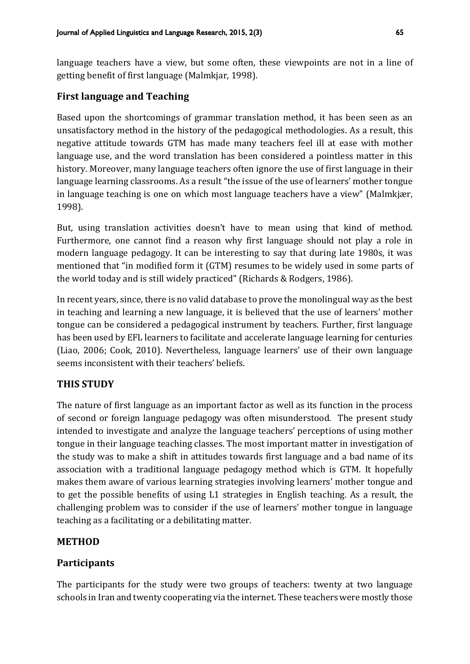language teachers have a view, but some often, these viewpoints are not in a line of getting benefit of first language (Malmkjar, 1998).

### **First language and Teaching**

Based upon the shortcomings of grammar translation method, it has been seen as an unsatisfactory method in the history of the pedagogical methodologies. As a result, this negative attitude towards GTM has made many teachers feel ill at ease with mother language use, and the word translation has been considered a pointless matter in this history. Moreover, many language teachers often ignore the use of first language in their language learning classrooms. As a result "the issue of the use of learners' mother tongue in language teaching is one on which most language teachers have a view" (Malmkjær, 1998).

But, using translation activities doesn't have to mean using that kind of method. Furthermore, one cannot find a reason why first language should not play a role in modern language pedagogy. It can be interesting to say that during late 1980s, it was mentioned that "in modified form it (GTM) resumes to be widely used in some parts of the world today and is still widely practiced" (Richards & Rodgers, 1986).

In recent years, since, there is no valid database to prove the monolingual way as the best in teaching and learning a new language, it is believed that the use of learners' mother tongue can be considered a pedagogical instrument by teachers. Further, first language has been used by EFL learners to facilitate and accelerate language learning for centuries (Liao, 2006; Cook, 2010). Nevertheless, language learners' use of their own language seems inconsistent with their teachers' beliefs.

### **THIS STUDY**

The nature of first language as an important factor as well as its function in the process of second or foreign language pedagogy was often misunderstood. The present study intended to investigate and analyze the language teachers' perceptions of using mother tongue in their language teaching classes. The most important matter in investigation of the study was to make a shift in attitudes towards first language and a bad name of its association with a traditional language pedagogy method which is GTM. It hopefully makes them aware of various learning strategies involving learners' mother tongue and to get the possible benefits of using L1 strategies in English teaching. As a result, the challenging problem was to consider if the use of learners' mother tongue in language teaching as a facilitating or a debilitating matter.

### **METHOD**

### **Participants**

The participants for the study were two groups of teachers: twenty at two language schools in Iran and twenty cooperating via the internet. These teachers were mostly those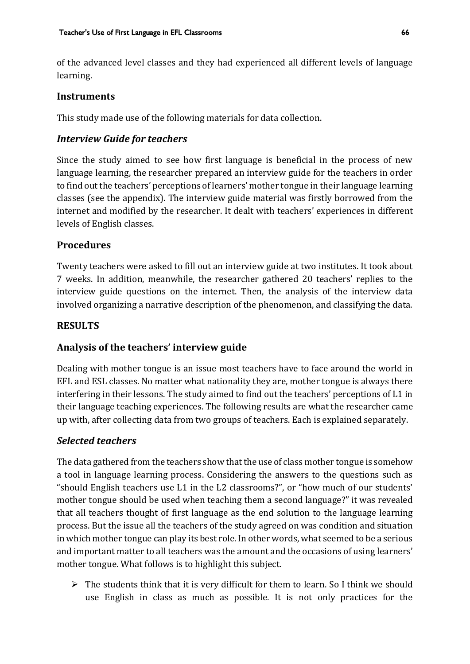of the advanced level classes and they had experienced all different levels of language learning.

### **Instruments**

This study made use of the following materials for data collection.

# *Interview Guide for teachers*

Since the study aimed to see how first language is beneficial in the process of new language learning, the researcher prepared an interview guide for the teachers in order to find out the teachers' perceptions of learners' mother tongue in their language learning classes (see the appendix). The interview guide material was firstly borrowed from the internet and modified by the researcher. It dealt with teachers' experiences in different levels of English classes.

# **Procedures**

Twenty teachers were asked to fill out an interview guide at two institutes. It took about 7 weeks. In addition, meanwhile, the researcher gathered 20 teachers' replies to the interview guide questions on the internet. Then, the analysis of the interview data involved organizing a narrative description of the phenomenon, and classifying the data.

# **RESULTS**

# **Analysis of the teachers' interview guide**

Dealing with mother tongue is an issue most teachers have to face around the world in EFL and ESL classes. No matter what nationality they are, mother tongue is always there interfering in their lessons. The study aimed to find out the teachers' perceptions of L1 in their language teaching experiences. The following results are what the researcher came up with, after collecting data from two groups of teachers. Each is explained separately.

# *Selected teachers*

The data gathered from the teachers show that the use of class mother tongue is somehow a tool in language learning process. Considering the answers to the questions such as "should English teachers use L1 in the L2 classrooms?", or "how much of our students' mother tongue should be used when teaching them a second language?" it was revealed that all teachers thought of first language as the end solution to the language learning process. But the issue all the teachers of the study agreed on was condition and situation in which mother tongue can play its best role. In other words, what seemed to be a serious and important matter to all teachers was the amount and the occasions of using learners' mother tongue. What follows is to highlight this subject.

 $\triangleright$  The students think that it is very difficult for them to learn. So I think we should use English in class as much as possible. It is not only practices for the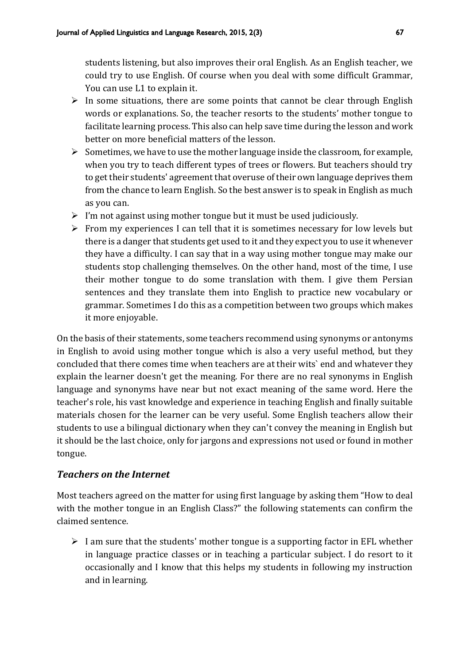students listening, but also improves their oral English. As an English teacher, we could try to use English. Of course when you deal with some difficult Grammar, You can use L1 to explain it.

- $\triangleright$  In some situations, there are some points that cannot be clear through English words or explanations. So, the teacher resorts to the students' mother tongue to facilitate learning process. This also can help save time during the lesson and work better on more beneficial matters of the lesson.
- $\triangleright$  Sometimes, we have to use the mother language inside the classroom, for example, when you try to teach different types of trees or flowers. But teachers should try to get their students' agreement that overuse of their own language deprives them from the chance to learn English. So the best answer is to speak in English as much as you can.
- $\triangleright$  I'm not against using mother tongue but it must be used judiciously.
- $\triangleright$  From my experiences I can tell that it is sometimes necessary for low levels but there is a danger that students get used to it and they expect you to use it whenever they have a difficulty. I can say that in a way using mother tongue may make our students stop challenging themselves. On the other hand, most of the time, I use their mother tongue to do some translation with them. I give them Persian sentences and they translate them into English to practice new vocabulary or grammar. Sometimes I do this as a competition between two groups which makes it more enjoyable.

On the basis of their statements, some teachers recommend using synonyms or antonyms in English to avoid using mother tongue which is also a very useful method, but they concluded that there comes time when teachers are at their wits` end and whatever they explain the learner doesn't get the meaning. For there are no real synonyms in English language and synonyms have near but not exact meaning of the same word. Here the teacher's role, his vast knowledge and experience in teaching English and finally suitable materials chosen for the learner can be very useful. Some English teachers allow their students to use a bilingual dictionary when they can't convey the meaning in English but it should be the last choice, only for jargons and expressions not used or found in mother tongue.

### *Teachers on the Internet*

Most teachers agreed on the matter for using first language by asking them "How to deal with the mother tongue in an English Class?" the following statements can confirm the claimed sentence.

 $\triangleright$  I am sure that the students' mother tongue is a supporting factor in EFL whether in language practice classes or in teaching a particular subject. I do resort to it occasionally and I know that this helps my students in following my instruction and in learning.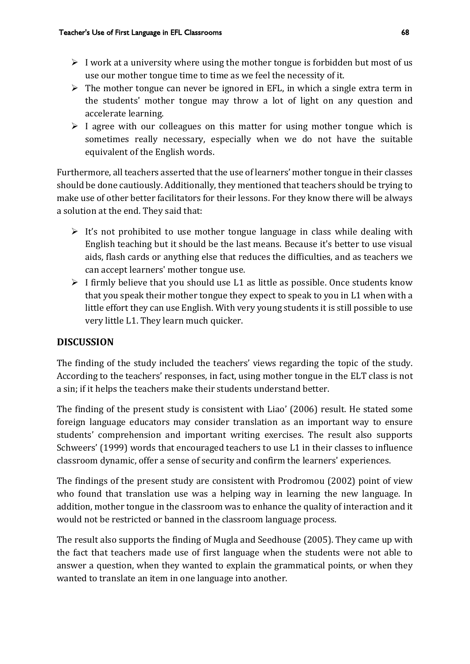- $\triangleright$  I work at a university where using the mother tongue is forbidden but most of us use our mother tongue time to time as we feel the necessity of it.
- $\triangleright$  The mother tongue can never be ignored in EFL, in which a single extra term in the students' mother tongue may throw a lot of light on any question and accelerate learning.
- $\triangleright$  I agree with our colleagues on this matter for using mother tongue which is sometimes really necessary, especially when we do not have the suitable equivalent of the English words.

Furthermore, all teachers asserted that the use of learners' mother tongue in their classes should be done cautiously. Additionally, they mentioned that teachers should be trying to make use of other better facilitators for their lessons. For they know there will be always a solution at the end. They said that:

- $\triangleright$  It's not prohibited to use mother tongue language in class while dealing with English teaching but it should be the last means. Because it's better to use visual aids, flash cards or anything else that reduces the difficulties, and as teachers we can accept learners' mother tongue use.
- $\triangleright$  I firmly believe that you should use L1 as little as possible. Once students know that you speak their mother tongue they expect to speak to you in L1 when with a little effort they can use English. With very young students it is still possible to use very little L1. They learn much quicker.

### **DISCUSSION**

The finding of the study included the teachers' views regarding the topic of the study. According to the teachers' responses, in fact, using mother tongue in the ELT class is not a sin; if it helps the teachers make their students understand better.

The finding of the present study is consistent with Liao' (2006) result. He stated some foreign language educators may consider translation as an important way to ensure students' comprehension and important writing exercises. The result also supports Schweers' (1999) words that encouraged teachers to use L1 in their classes to influence classroom dynamic, offer a sense of security and confirm the learners' experiences.

The findings of the present study are consistent with Prodromou (2002) point of view who found that translation use was a helping way in learning the new language. In addition, mother tongue in the classroom was to enhance the quality of interaction and it would not be restricted or banned in the classroom language process.

The result also supports the finding of Mugla and Seedhouse (2005). They came up with the fact that teachers made use of first language when the students were not able to answer a question, when they wanted to explain the grammatical points, or when they wanted to translate an item in one language into another.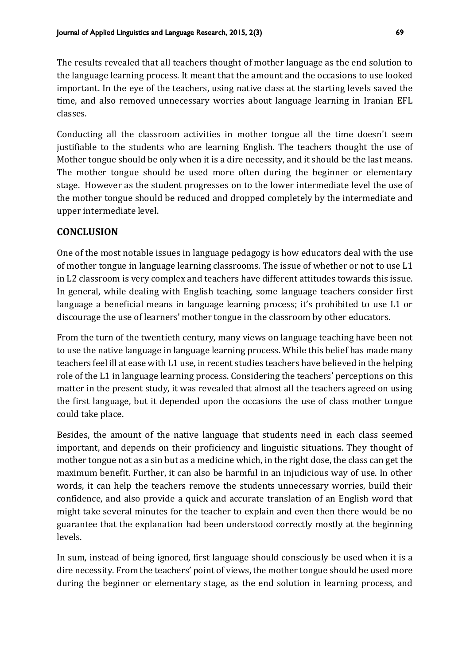The results revealed that all teachers thought of mother language as the end solution to the language learning process. It meant that the amount and the occasions to use looked important. In the eye of the teachers, using native class at the starting levels saved the time, and also removed unnecessary worries about language learning in Iranian EFL classes.

Conducting all the classroom activities in mother tongue all the time doesn't seem justifiable to the students who are learning English. The teachers thought the use of Mother tongue should be only when it is a dire necessity, and it should be the last means. The mother tongue should be used more often during the beginner or elementary stage. However as the student progresses on to the lower intermediate level the use of the mother tongue should be reduced and dropped completely by the intermediate and upper intermediate level.

### **CONCLUSION**

One of the most notable issues in language pedagogy is how educators deal with the use of mother tongue in language learning classrooms. The issue of whether or not to use L1 in L2 classroom is very complex and teachers have different attitudes towards this issue. In general, while dealing with English teaching, some language teachers consider first language a beneficial means in language learning process; it's prohibited to use L1 or discourage the use of learners' mother tongue in the classroom by other educators.

From the turn of the twentieth century, many views on language teaching have been not to use the native language in language learning process. While this belief has made many teachers feel ill at ease with L1 use, in recent studies teachers have believed in the helping role of the L1 in language learning process. Considering the teachers' perceptions on this matter in the present study, it was revealed that almost all the teachers agreed on using the first language, but it depended upon the occasions the use of class mother tongue could take place.

Besides, the amount of the native language that students need in each class seemed important, and depends on their proficiency and linguistic situations. They thought of mother tongue not as a sin but as a medicine which, in the right dose, the class can get the maximum benefit. Further, it can also be harmful in an injudicious way of use. In other words, it can help the teachers remove the students unnecessary worries, build their confidence, and also provide a quick and accurate translation of an English word that might take several minutes for the teacher to explain and even then there would be no guarantee that the explanation had been understood correctly mostly at the beginning levels.

In sum, instead of being ignored, first language should consciously be used when it is a dire necessity. From the teachers' point of views, the mother tongue should be used more during the beginner or elementary stage, as the end solution in learning process, and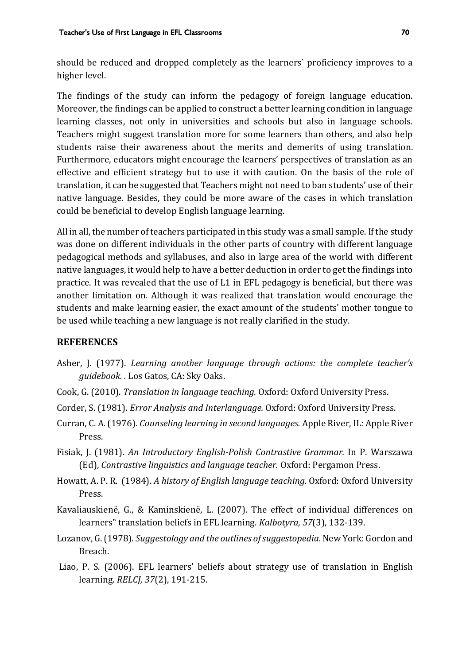should be reduced and dropped completely as the learners` proficiency improves to a higher level.

The findings of the study can inform the pedagogy of foreign language education. Moreover, the findings can be applied to construct a better learning condition in language learning classes, not only in universities and schools but also in language schools. Teachers might suggest translation more for some learners than others, and also help students raise their awareness about the merits and demerits of using translation. Furthermore, educators might encourage the learners' perspectives of translation as an effective and efficient strategy but to use it with caution. On the basis of the role of translation, it can be suggested that Teachers might not need to ban students' use of their native language. Besides, they could be more aware of the cases in which translation could be beneficial to develop English language learning.

All in all, the number of teachers participated in this study was a small sample. If the study was done on different individuals in the other parts of country with different language pedagogical methods and syllabuses, and also in large area of the world with different native languages, it would help to have a better deduction in order to get the findings into practice. It was revealed that the use of L1 in EFL pedagogy is beneficial, but there was another limitation on. Although it was realized that translation would encourage the students and make learning easier, the exact amount of the students' mother tongue to be used while teaching a new language is not really clarified in the study.

#### **REFERENCES**

- Asher, J. (1977). *Learning another language through actions: the complete teacher's guidebook. .* Los Gatos, CA: Sky Oaks.
- Cook, G. (2010). *Translation in language teaching.* Oxford: Oxford University Press.
- Corder, S. (1981). *Error Analysis and Interlanguage.* Oxford: Oxford University Press.
- Curran, C. A. (1976). *Counseling learning in second languages.* Apple River, IL: Apple River Press.
- Fisiak, J. (1981). *An Introductory English-Polish Contrastive Grammar.* In P. Warszawa (Ed), *Contrastive linguistics and language teacher.* Oxford: Pergamon Press.
- Howatt, A. P. R. (1984). *A history of English language teaching.* Oxford: Oxford University Press.
- Kavaliauskienë, G., & Kaminskienë, L. (2007). The effect of individual differences on learners" translation beliefs in EFL learning. *Kalbotyra, 57*(3), 132-139.
- Lozanov, G. (1978). *Suggestology and the outlines of suggestopedia.* New York: Gordon and Breach.
- Liao, P. S. (2006). EFL learners' beliefs about strategy use of translation in English learning. *RELCJ, 37*(2), 191-215.